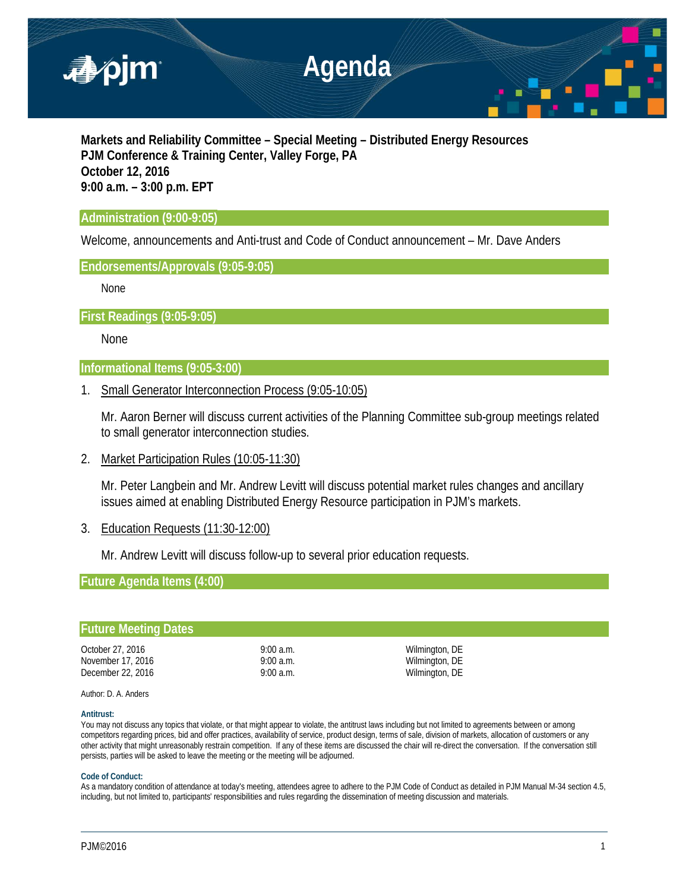

**Markets and Reliability Committee – Special Meeting – Distributed Energy Resources PJM Conference & Training Center, Valley Forge, PA October 12, 2016 9:00 a.m. – 3:00 p.m. EPT**

# **Administration (9:00-9:05)**

Welcome, announcements and Anti-trust and Code of Conduct announcement – Mr. Dave Anders

# **Endorsements/Approvals (9:05-9:05)**

None

**First Readings (9:05-9:05)** 

None

# **Informational Items (9:05-3:00)**

1. Small Generator Interconnection Process (9:05-10:05)

Mr. Aaron Berner will discuss current activities of the Planning Committee sub-group meetings related to small generator interconnection studies.

2. Market Participation Rules (10:05-11:30)

Mr. Peter Langbein and Mr. Andrew Levitt will discuss potential market rules changes and ancillary issues aimed at enabling Distributed Energy Resource participation in PJM's markets.

3. Education Requests (11:30-12:00)

Mr. Andrew Levitt will discuss follow-up to several prior education requests.

**Future Agenda Items (4:00)**

| Wilmington, DE<br>$9:00$ a.m.<br>Wilmington, DE<br>$9:00$ a.m.<br>Wilmington, DE<br>$9:00$ a.m. |
|-------------------------------------------------------------------------------------------------|

Author: D. A. Anders

### **Antitrust:**

You may not discuss any topics that violate, or that might appear to violate, the antitrust laws including but not limited to agreements between or among competitors regarding prices, bid and offer practices, availability of service, product design, terms of sale, division of markets, allocation of customers or any other activity that might unreasonably restrain competition. If any of these items are discussed the chair will re-direct the conversation. If the conversation still persists, parties will be asked to leave the meeting or the meeting will be adjourned.

### **Code of Conduct:**

As a mandatory condition of attendance at today's meeting, attendees agree to adhere to the PJM Code of Conduct as detailed in PJM Manual M-34 section 4.5, including, but not limited to, participants' responsibilities and rules regarding the dissemination of meeting discussion and materials.